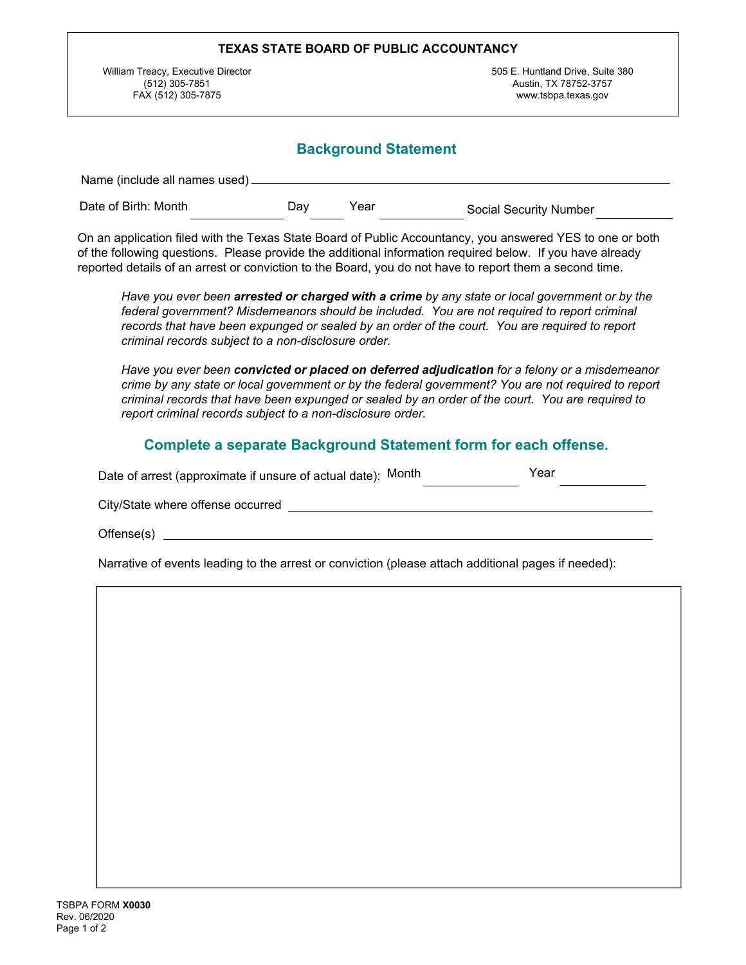| TEXAS STATE BOARD OF PUBLIC ACCOUNTANCY                                    |                                                                                  |  |  |  |  |
|----------------------------------------------------------------------------|----------------------------------------------------------------------------------|--|--|--|--|
| William Treacy, Executive Director<br>(512) 305-7851<br>FAX (512) 305-7875 | 505 E. Huntland Drive, Suite 380<br>Austin, TX 78752-3757<br>www.tsbpa.texas.gov |  |  |  |  |
| Name (include all names used)                                              | <b>Background Statement</b>                                                      |  |  |  |  |

| <b>▼ </b> Dav<br>$\left  \cdot \right $ Year<br>Date of Birth: Month<br> ▼ Social Security Number |  |
|---------------------------------------------------------------------------------------------------|--|
|---------------------------------------------------------------------------------------------------|--|

On an application filed with the Texas State Board of Public Accountancy, you answered YES to one or both of the following questions. Please provide the additional information required below. If you have already reported details of an arrest or conviction to the Board, you do not have to report them a second time.

*Have you ever been arrested or charged with a crime by any state or local government or by the federal government? Misdemeanors should be included. You are not required to report criminal records that have been expunged or sealed by an order of the court. You are required to report criminal records subject to a non-disclosure order.*

*Have you ever been convicted or placed on deferred adjudication for a felony or a misdemeanor crime by any state or local government or by the federal government? You are not required to report criminal records that have been expunged or sealed by an order of the court. You are required to report criminal records subject to a non-disclosure order.* 

## **Complete a separate Background Statement form for each offense.**

| Date of arrest (approximate if unsure of actual date): Month |  | Year |  |
|--------------------------------------------------------------|--|------|--|
| City/State where offense occurred                            |  |      |  |
| Offense(s)                                                   |  |      |  |

Narrative of events leading to the arrest or conviction (please attach additional pages if needed):